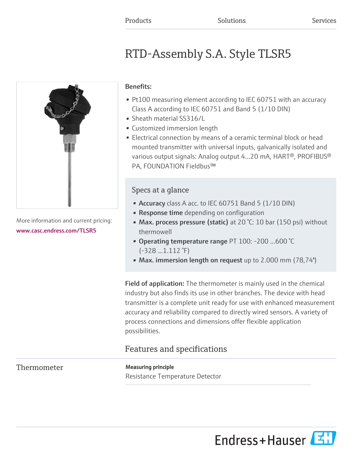# RTD-Assembly S.A. Style TLSR5



More information and current pricing: [www.casc.endress.com/TLSR5](https://www.casc.endress.com/TLSR5)

### Benefits:

- Pt100 measuring element according to IEC 60751 with an accuracy Class A according to IEC 60751 and Band 5 (1/10 DIN)
- Sheath material SS316/L
- Customized immersion length
- Electrical connection by means of a ceramic terminal block or head mounted transmitter with universal inputs, galvanically isolated and various output signals: Analog output 4...20 mA, HART®, PROFIBUS® PA, FOUNDATION Fieldbus™

### Specs at a glance

- Accuracy class A acc. to IEC 60751 Band 5 (1/10 DIN)
- **Response time** depending on configuration
- Max. process pressure (static) at 20 °C: 10 bar (150 psi) without thermowell
- Operating temperature range PT 100: -200 ...600 °C  $(-328...1.112$  °F)
- Max. immersion length on request up to 2.000 mm (78,74'')

Field of application: The thermometer is mainly used in the chemical industry but also finds its use in other branches. The device with head transmitter is a complete unit ready for use with enhanced measurement accuracy and reliability compared to directly wired sensors. A variety of process connections and dimensions offer flexible application possibilities.

## Features and specifications

### Thermometer Measuring principle

Resistance Temperature Detector

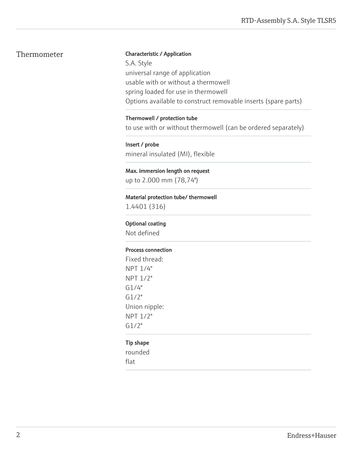#### Thermometer Characteristic / Application

S.A. Style universal range of application usable with or without a thermowell spring loaded for use in thermowell Options available to construct removable inserts (spare parts)

#### Thermowell / protection tube

to use with or without thermowell (can be ordered separately)

Insert / probe mineral insulated (MI), flexible

Max. immersion length on request up to 2.000 mm (78,74'')

Material protection tube/ thermowell 1.4401 (316)

#### Optional coating

Not defined

#### Process connection

Fixed thread: NPT 1/4" NPT 1/2" G1/4" G1/2" Union nipple: NPT 1/2" G1/2"

#### Tip shape

rounded flat